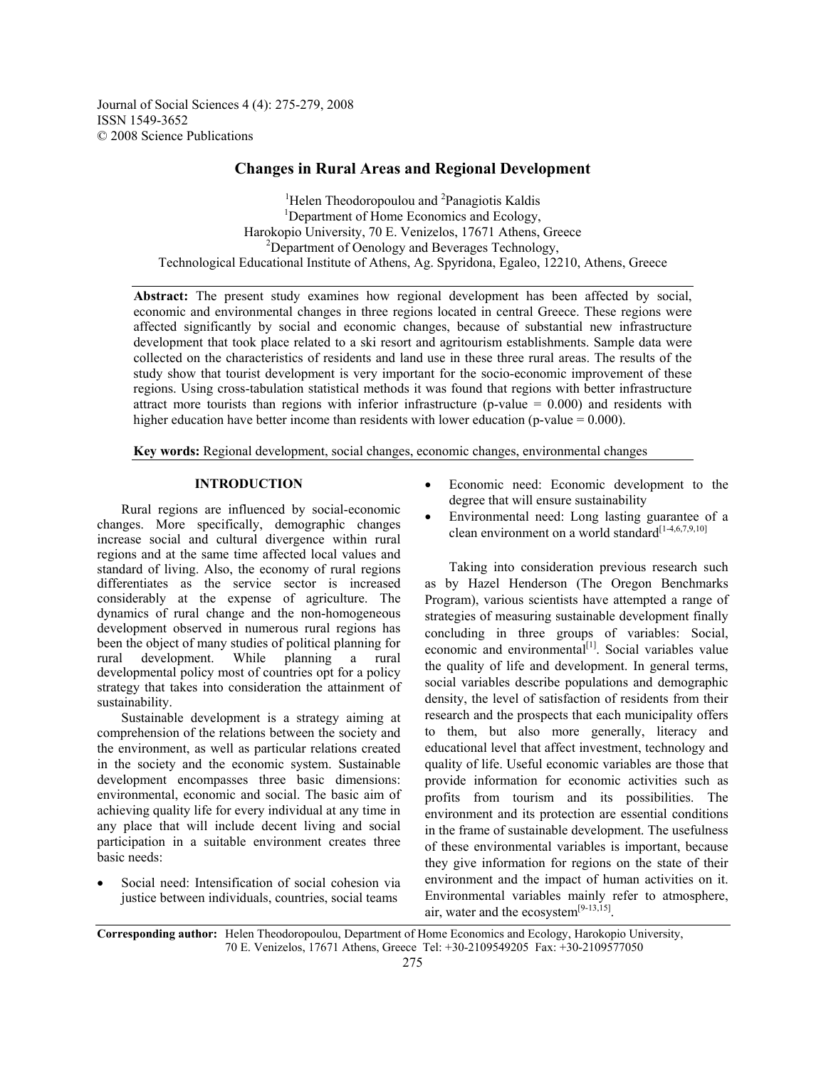Journal of Social Sciences 4 (4): 275-279, 2008 ISSN 1549-3652 © 2008 Science Publications

# **Changes in Rural Areas and Regional Development**

<sup>1</sup>Helen Theodoropoulou and <sup>2</sup>Panagiotis Kaldis <sup>1</sup>Department of Home Economias and Ecology Department of Home Economics and Ecology, Harokopio University, 70 E. Venizelos, 17671 Athens, Greece 2 <sup>2</sup>Department of Oenology and Beverages Technology, Technological Educational Institute of Athens, Ag. Spyridona, Egaleo, 12210, Athens, Greece

**Abstract:** The present study examines how regional development has been affected by social, economic and environmental changes in three regions located in central Greece. These regions were affected significantly by social and economic changes, because of substantial new infrastructure development that took place related to a ski resort and agritourism establishments. Sample data were collected on the characteristics of residents and land use in these three rural areas. The results of the study show that tourist development is very important for the socio-economic improvement of these regions. Using cross-tabulation statistical methods it was found that regions with better infrastructure attract more tourists than regions with inferior infrastructure (p-value  $= 0.000$ ) and residents with higher education have better income than residents with lower education (p-value  $= 0.000$ ).

**Key words:** Regional development, social changes, economic changes, environmental changes

## **INTRODUCTION**

 Rural regions are influenced by social-economic changes. More specifically, demographic changes increase social and cultural divergence within rural regions and at the same time affected local values and standard of living. Also, the economy of rural regions differentiates as the service sector is increased considerably at the expense of agriculture. The dynamics of rural change and the non-homogeneous development observed in numerous rural regions has been the object of many studies of political planning for rural development. While planning a rural developmental policy most of countries opt for a policy strategy that takes into consideration the attainment of sustainability.

 Sustainable development is a strategy aiming at comprehension of the relations between the society and the environment, as well as particular relations created in the society and the economic system. Sustainable development encompasses three basic dimensions: environmental, economic and social. The basic aim of achieving quality life for every individual at any time in any place that will include decent living and social participation in a suitable environment creates three basic needs:

Social need: Intensification of social cohesion via justice between individuals, countries, social teams

- Economic need: Economic development to the degree that will ensure sustainability
- Environmental need: Long lasting guarantee of a clean environment on a world standard $[1-4,6,7,9,10]$

 Taking into consideration previous research such as by Hazel Henderson (The Oregon Benchmarks Program), various scientists have attempted a range of strategies of measuring sustainable development finally concluding in three groups of variables: Social, economic and environmental $[1]$ . Social variables value the quality of life and development. In general terms, social variables describe populations and demographic density, the level of satisfaction of residents from their research and the prospects that each municipality offers to them, but also more generally, literacy and educational level that affect investment, technology and quality of life. Useful economic variables are those that provide information for economic activities such as profits from tourism and its possibilities. The environment and its protection are essential conditions in the frame of sustainable development. The usefulness of these environmental variables is important, because they give information for regions on the state of their environment and the impact of human activities on it. Environmental variables mainly refer to atmosphere, air, water and the ecosystem<sup>[9-13,15]</sup>.

**Corresponding author:** Helen Theodoropoulou, Department of Home Economics and Ecology, Harokopio University, 70 E. Venizelos, 17671 Athens, Greece Tel: +30-2109549205 Fax: +30-2109577050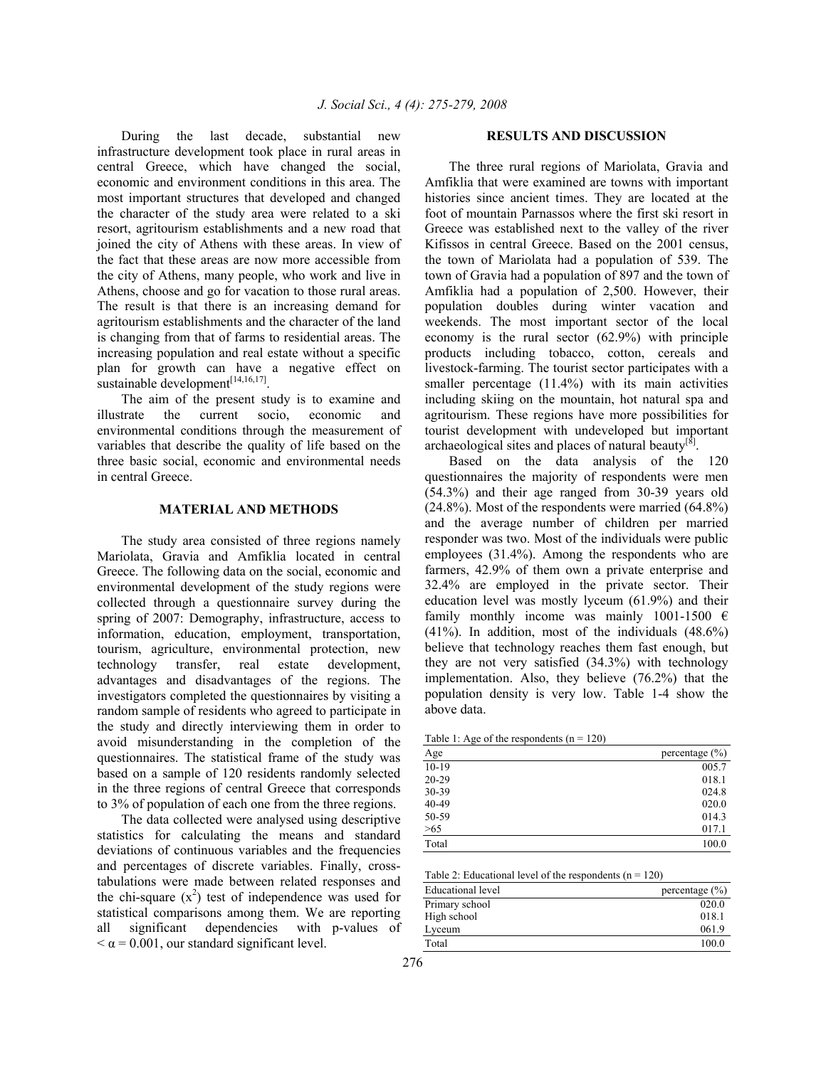During the last decade, substantial new infrastructure development took place in rural areas in central Greece, which have changed the social, economic and environment conditions in this area. The most important structures that developed and changed the character of the study area were related to a ski resort, agritourism establishments and a new road that joined the city of Athens with these areas. In view of the fact that these areas are now more accessible from the city of Athens, many people, who work and live in Athens, choose and go for vacation to those rural areas. The result is that there is an increasing demand for agritourism establishments and the character of the land is changing from that of farms to residential areas. The increasing population and real estate without a specific plan for growth can have a negative effect on sustainable development<sup>[14,16,17]</sup>.

 The aim of the present study is to examine and illustrate the current socio, economic and environmental conditions through the measurement of variables that describe the quality of life based on the three basic social, economic and environmental needs in central Greece.

## **MATERIAL AND METHODS**

 The study area consisted of three regions namely Mariolata, Gravia and Amfiklia located in central Greece. The following data on the social, economic and environmental development of the study regions were collected through a questionnaire survey during the spring of 2007: Demography, infrastructure, access to information, education, employment, transportation, tourism, agriculture, environmental protection, new technology transfer, real estate development, advantages and disadvantages of the regions. The investigators completed the questionnaires by visiting a random sample of residents who agreed to participate in the study and directly interviewing them in order to avoid misunderstanding in the completion of the questionnaires. The statistical frame of the study was based on a sample of 120 residents randomly selected in the three regions of central Greece that corresponds to 3% of population of each one from the three regions.

 The data collected were analysed using descriptive statistics for calculating the means and standard deviations of continuous variables and the frequencies and percentages of discrete variables. Finally, crosstabulations were made between related responses and the chi-square  $(x^2)$  test of independence was used for statistical comparisons among them. We are reporting all significant dependencies with p-values of  $\alpha$  = 0.001, our standard significant level.

#### **RESULTS AND DISCUSSION**

 The three rural regions of Mariolata, Gravia and Amfiklia that were examined are towns with important histories since ancient times. They are located at the foot of mountain Parnassos where the first ski resort in Greece was established next to the valley of the river Kifissos in central Greece. Based on the 2001 census, the town of Mariolata had a population of 539. The town of Gravia had a population of 897 and the town of Amfiklia had a population of 2,500. However, their population doubles during winter vacation and weekends. The most important sector of the local economy is the rural sector (62.9%) with principle products including tobacco, cotton, cereals and livestock-farming. The tourist sector participates with a smaller percentage (11.4%) with its main activities including skiing on the mountain, hot natural spa and agritourism. These regions have more possibilities for tourist development with undeveloped but important archaeological sites and places of natural beauty $[8]$ .

 Based on the data analysis of the 120 questionnaires the majority of respondents were men (54.3%) and their age ranged from 30-39 years old (24.8%). Most of the respondents were married (64.8%) and the average number of children per married responder was two. Most of the individuals were public employees (31.4%). Among the respondents who are farmers, 42.9% of them own a private enterprise and 32.4% are employed in the private sector. Their education level was mostly lyceum (61.9%) and their family monthly income was mainly 1001-1500  $\epsilon$ (41%). In addition, most of the individuals (48.6%) believe that technology reaches them fast enough, but they are not very satisfied (34.3%) with technology implementation. Also, they believe (76.2%) that the population density is very low. Table 1-4 show the above data.

Table 1: Age of the respondents  $(n = 120)$ 

| Age       | percentage $(\% )$ |
|-----------|--------------------|
| $10-19$   | 005.7              |
| $20 - 29$ | 018.1              |
| 30-39     | 024.8              |
| 40-49     | 020.0              |
| 50-59     | 014.3              |
| >65       | 017.1              |
| Total     | 100.0              |

Table 2: Educational level of the respondents  $(n = 120)$ 

| Educational level | percentage $(\% )$ |
|-------------------|--------------------|
| Primary school    | 020.0              |
| High school       | 018.1              |
| Lyceum            | 061.9              |
| Total             | 100.0              |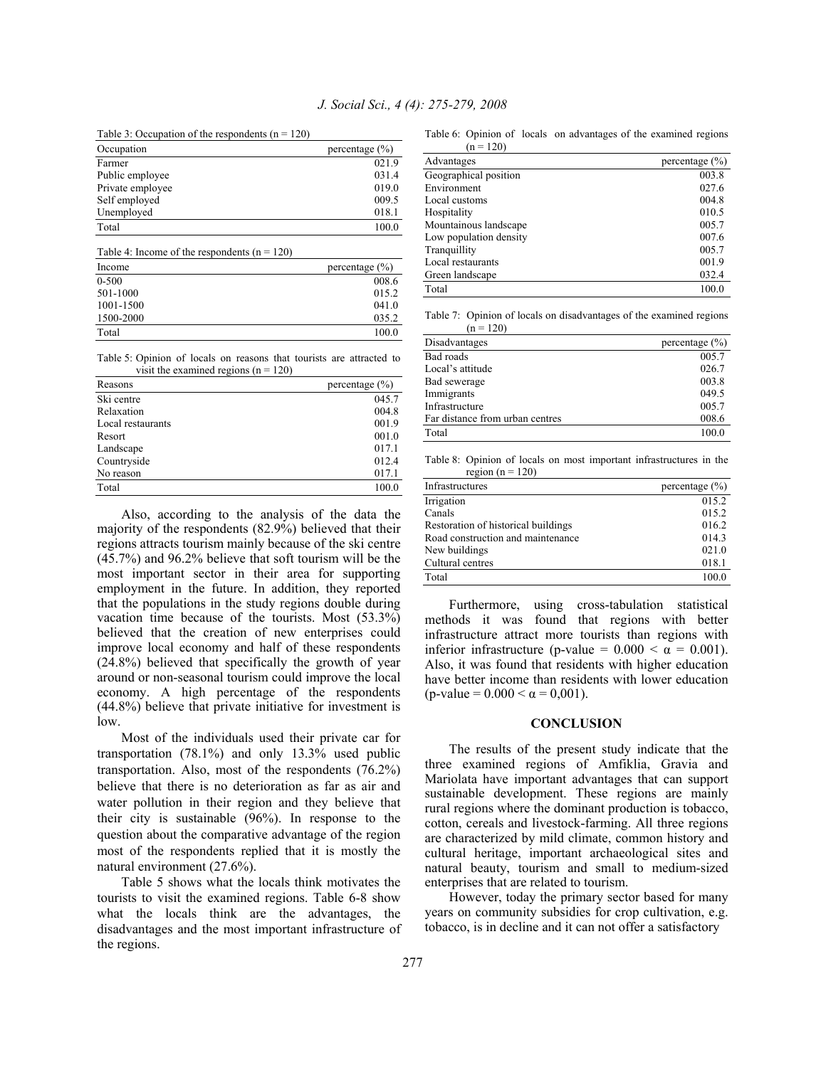Table 3: Occupation of the respondents  $(n = 120)$ 

| Occupation       | percentage $(\% )$ |
|------------------|--------------------|
| Farmer           | 021.9              |
| Public employee  | 031.4              |
| Private employee | 019.0              |
| Self employed    | 009.5              |
| Unemployed       | 018.1              |
| Total            | 100.0              |

| Table 4: Income of the respondents $(n = 120)$ |                    |  |
|------------------------------------------------|--------------------|--|
| Income                                         | percentage $(\% )$ |  |
| $0 - 500$                                      | 008.6              |  |
| 501-1000                                       | 015.2              |  |
| 1001-1500                                      | 041.0              |  |
| 1500-2000                                      | 035.2              |  |
| Total                                          | 100.0              |  |

Table 5: Opinion of locals on reasons that tourists are attracted to visit the examined regions  $(n = 120)$ 

| Reasons           | percentage $(\% )$ |
|-------------------|--------------------|
| Ski centre        | 045.7              |
| Relaxation        | 004.8              |
| Local restaurants | 001.9              |
| Resort            | 001.0              |
| Landscape         | 017.1              |
| Countryside       | 012.4              |
| No reason         | 017.1              |
| Total             | 100.0              |

 Also, according to the analysis of the data the majority of the respondents (82.9%) believed that their regions attracts tourism mainly because of the ski centre (45.7%) and 96.2% believe that soft tourism will be the most important sector in their area for supporting employment in the future. In addition, they reported that the populations in the study regions double during vacation time because of the tourists. Most (53.3%) believed that the creation of new enterprises could improve local economy and half of these respondents (24.8%) believed that specifically the growth of year around or non-seasonal tourism could improve the local economy. A high percentage of the respondents (44.8%) believe that private initiative for investment is low.

 Most of the individuals used their private car for transportation (78.1%) and only 13.3% used public transportation. Also, most of the respondents (76.2%) believe that there is no deterioration as far as air and water pollution in their region and they believe that their city is sustainable (96%). In response to the question about the comparative advantage of the region most of the respondents replied that it is mostly the natural environment (27.6%).

 Table 5 shows what the locals think motivates the tourists to visit the examined regions. Table 6-8 show what the locals think are the advantages, the disadvantages and the most important infrastructure of the regions.

Table 6: Opinion of locals on advantages of the examined regions  $= 120$ 

| $(11 - 120)$           |                    |
|------------------------|--------------------|
| Advantages             | percentage $(\% )$ |
| Geographical position  | 003.8              |
| Environment            | 027.6              |
| Local customs          | 004.8              |
| Hospitality            | 010.5              |
| Mountainous landscape  | 005.7              |
| Low population density | 007.6              |
| Tranquillity           | 005.7              |
| Local restaurants      | 001.9              |
| Green landscape        | 032.4              |
| Total                  | 100.0              |

Table 7: Opinion of locals on disadvantages of the examined regions  $(n = 120)$ 

| Disadvantages                   | percentage $(\% )$ |
|---------------------------------|--------------------|
| Bad roads                       | 005.7              |
| Local's attitude                | 026.7              |
| Bad sewerage                    | 003.8              |
| Immigrants                      | 049.5              |
| Infrastructure                  | 005.7              |
| Far distance from urban centres | 008.6              |
| Total                           | 100.0              |

Table 8: Opinion of locals on most important infrastructures in the region ( $n = 120$ )

| Infrastructures                     | percentage $(\% )$ |
|-------------------------------------|--------------------|
| Irrigation                          | 015.2              |
| Canals                              | 015.2              |
| Restoration of historical buildings | 016.2              |
| Road construction and maintenance   | 014.3              |
| New buildings                       | 021.0              |
| Cultural centres                    | 018.1              |
| Total                               | 100.0              |

 Furthermore, using cross-tabulation statistical methods it was found that regions with better infrastructure attract more tourists than regions with inferior infrastructure (p-value =  $0.000 < \alpha = 0.001$ ). Also, it was found that residents with higher education have better income than residents with lower education (p-value =  $0.000 < \alpha = 0.001$ ).

## **CONCLUSION**

 The results of the present study indicate that the three examined regions of Amfiklia, Gravia and Mariolata have important advantages that can support sustainable development. These regions are mainly rural regions where the dominant production is tobacco, cotton, cereals and livestock-farming. All three regions are characterized by mild climate, common history and cultural heritage, important archaeological sites and natural beauty, tourism and small to medium-sized enterprises that are related to tourism.

 However, today the primary sector based for many years on community subsidies for crop cultivation, e.g. tobacco, is in decline and it can not offer a satisfactory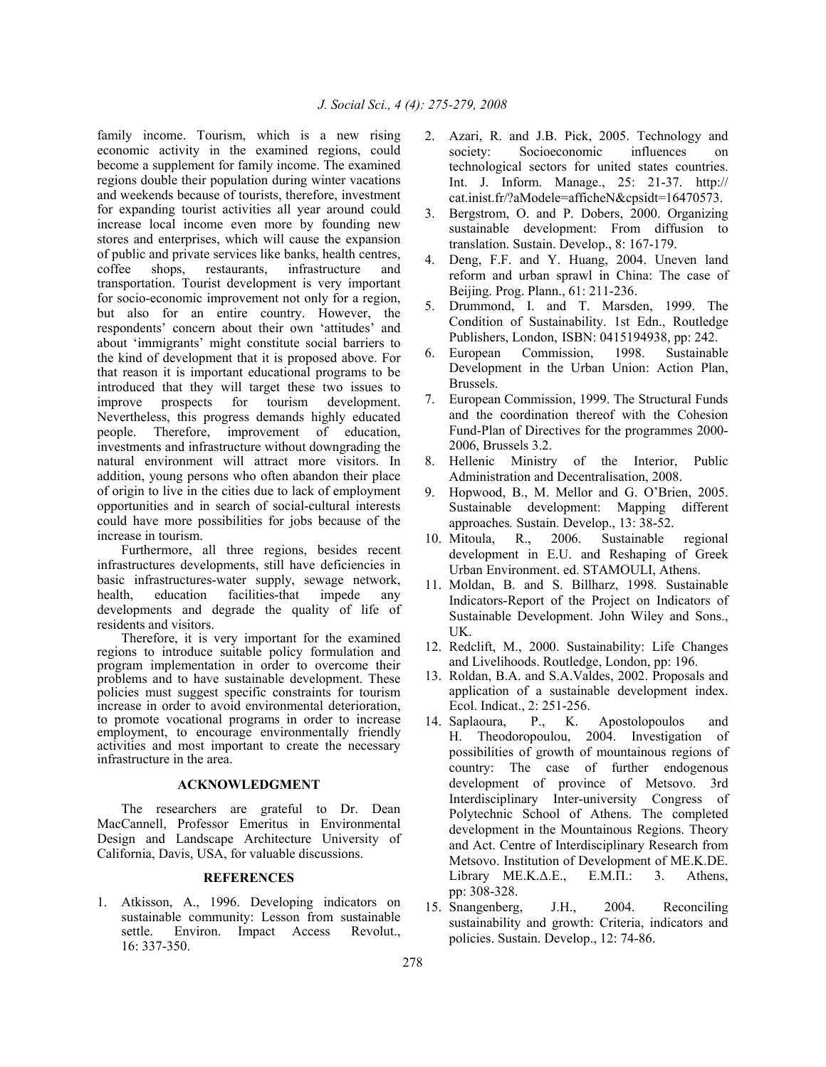family income. Tourism, which is a new rising economic activity in the examined regions, could become a supplement for family income. The examined regions double their population during winter vacations and weekends because of tourists, therefore, investment for expanding tourist activities all year around could increase local income even more by founding new stores and enterprises, which will cause the expansion of public and private services like banks, health centres, coffee shops, restaurants, infrastructure and transportation. Tourist development is very important for socio-economic improvement not only for a region, but also for an entire country. However, the respondents' concern about their own 'attitudes' and about 'immigrants' might constitute social barriers to the kind of development that it is proposed above. For that reason it is important educational programs to be introduced that they will target these two issues to improve prospects for tourism development. Nevertheless, this progress demands highly educated people. Therefore, improvement of education, investments and infrastructure without downgrading the natural environment will attract more visitors. In addition, young persons who often abandon their place of origin to live in the cities due to lack of employment opportunities and in search of social-cultural interests could have more possibilities for jobs because of the increase in tourism.

 Furthermore, all three regions, besides recent infrastructures developments, still have deficiencies in basic infrastructures-water supply, sewage network, health, education facilities-that impede any developments and degrade the quality of life of residents and visitors.

 Therefore, it is very important for the examined regions to introduce suitable policy formulation and program implementation in order to overcome their problems and to have sustainable development. These policies must suggest specific constraints for tourism increase in order to avoid environmental deterioration, to promote vocational programs in order to increase employment, to encourage environmentally friendly activities and most important to create the necessary infrastructure in the area.

## **ACKNOWLEDGMENT**

 The researchers are grateful to Dr. Dean MacCannell, Professor Emeritus in Environmental Design and Landscape Architecture University of California, Davis, USA, for valuable discussions.

## **REFERENCES**

1. Atkisson, A., 1996. Developing indicators on sustainable community: Lesson from sustainable settle. Environ. Impact Access Revolut., 16: 337-350.

- 2. Azari, R. and J.B. Pick, 2005. Technology and society: Socioeconomic influences on technological sectors for united states countries. Int. J. Inform. Manage., 25: 21-37. http:// cat.inist.fr/?aModele=afficheN&cpsidt=16470573.
- 3. Bergstrom, O. and P. Dobers, 2000. Organizing sustainable development: From diffusion to translation. Sustain. Develop., 8: 167-179.
- 4. Deng, F.F. and Y. Huang, 2004. Uneven land reform and urban sprawl in China: The case of Beijing. Prog. Plann., 61: 211-236.
- 5. Drummond, I. and T. Marsden, 1999. The Condition of Sustainability. 1st Edn., Routledge Publishers, London, ISBN: 0415194938, pp: 242.
- 6. European Commission, 1998. Sustainable Development in the Urban Union: Action Plan, Brussels.
- 7. European Commission, 1999. The Structural Funds and the coordination thereof with the Cohesion Fund-Plan of Directives for the programmes 2000- 2006, Brussels 3.2.
- 8. Hellenic Ministry of the Interior, Public Administration and Decentralisation, 2008.
- 9. Hopwood, B., M. Mellor and G. O'Brien, 2005. Sustainable development: Mapping different approaches*.* Sustain. Develop., 13: 38-52.
- 10. Mitoula, R., 2006. Sustainable regional development in E.U. and Reshaping of Greek Urban Environment. ed. STAMOULI, Athens.
- 11. Moldan, B. and S. Billharz, 1998*.* Sustainable Indicators-Report of the Project on Indicators of Sustainable Development. John Wiley and Sons., UK.
- 12. Redclift, M., 2000. Sustainability: Life Changes and Livelihoods. Routledge, London, pp: 196.
- 13. Roldan, B.A. and S.A.Valdes, 2002. Proposals and application of a sustainable development index. Ecol. Indicat., 2: 251-256.
- 14. Saplaoura, P., K. Apostolopoulos and H. Theodoropoulou, 2004. Investigation of possibilities of growth of mountainous regions of country: The case of further endogenous development of province of Metsovo. 3rd Interdisciplinary Inter-university Congress of Polytechnic School of Athens. The completed development in the Mountainous Regions. Theory and Act. Centre of Interdisciplinary Research from Metsovo. Institution of Development of ME.K.DE. Library ΜΕ.Κ.∆.Ε., Ε.Μ.Π.: 3. Athens, pp: 308-328.
- 15. Snangenberg, J.H., 2004. Reconciling sustainability and growth: Criteria, indicators and policies. Sustain. Develop., 12: 74-86.